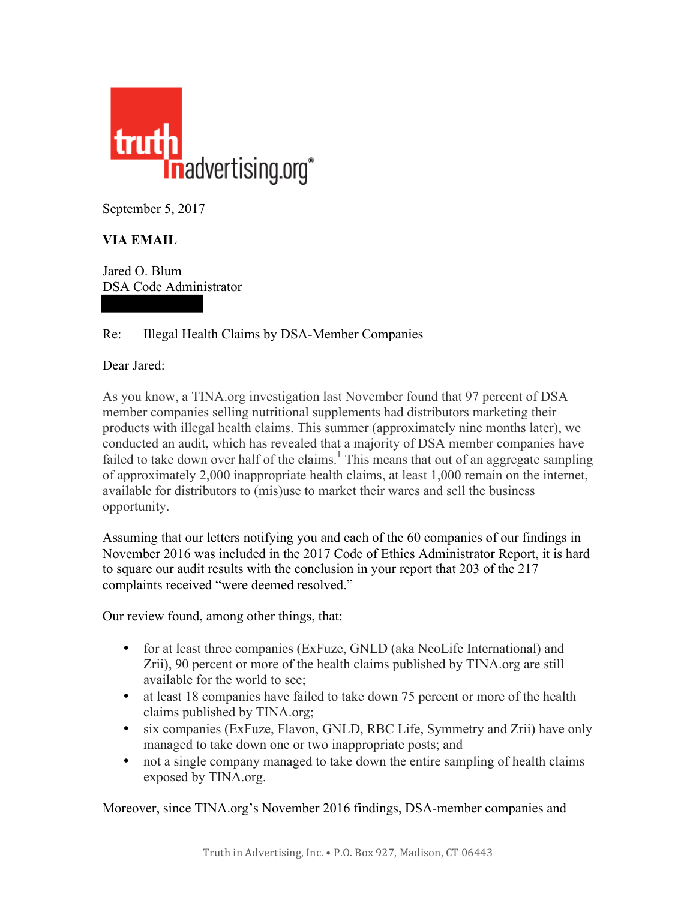

September 5, 2017

## **VIA EMAIL**

Jared O. Blum DSA Code Administrator

## Re: Illegal Health Claims by DSA-Member Companies

Dear Jared:

As you know, a TINA.org investigation last November found that 97 percent of DSA member companies selling nutritional supplements had distributors marketing their products with illegal health claims. This summer (approximately nine months later), we conducted an audit, which has revealed that a majority of DSA member companies have failed to take down over half of the claims.<sup>1</sup> This means that out of an aggregate sampling of approximately 2,000 inappropriate health claims, at least 1,000 remain on the internet, available for distributors to (mis)use to market their wares and sell the business opportunity.

Assuming that our letters notifying you and each of the 60 companies of our findings in November 2016 was included in the 2017 Code of Ethics Administrator Report, it is hard to square our audit results with the conclusion in your report that 203 of the 217 complaints received "were deemed resolved."

Our review found, among other things, that:

- for at least three companies (ExFuze, GNLD (aka NeoLife International) and Zrii), 90 percent or more of the health claims published by TINA.org are still available for the world to see;
- at least 18 companies have failed to take down 75 percent or more of the health claims published by TINA.org;
- six companies (ExFuze, Flavon, GNLD, RBC Life, Symmetry and Zrii) have only managed to take down one or two inappropriate posts; and
- not a single company managed to take down the entire sampling of health claims exposed by TINA.org.

Moreover, since TINA.org's November 2016 findings, DSA-member companies and